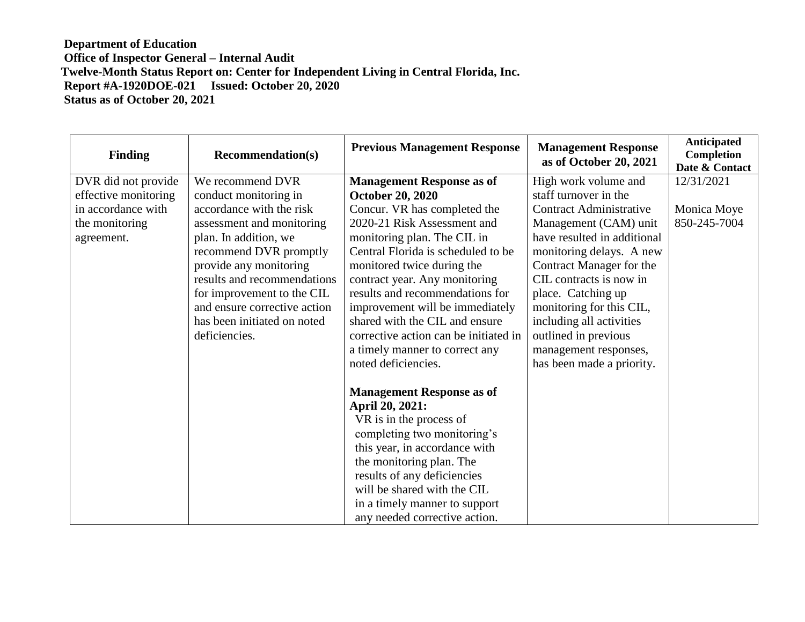| <b>Finding</b>       | <b>Recommendation(s)</b>     | <b>Previous Management Response</b>   | <b>Management Response</b><br>as of October 20, 2021 | Anticipated<br>Completion<br>Date & Contact |
|----------------------|------------------------------|---------------------------------------|------------------------------------------------------|---------------------------------------------|
| DVR did not provide  | We recommend DVR             | <b>Management Response as of</b>      | High work volume and                                 | 12/31/2021                                  |
| effective monitoring | conduct monitoring in        | <b>October 20, 2020</b>               | staff turnover in the                                |                                             |
| in accordance with   | accordance with the risk     | Concur. VR has completed the          | <b>Contract Administrative</b>                       | Monica Moye                                 |
| the monitoring       | assessment and monitoring    | 2020-21 Risk Assessment and           | Management (CAM) unit                                | 850-245-7004                                |
| agreement.           | plan. In addition, we        | monitoring plan. The CIL in           | have resulted in additional                          |                                             |
|                      | recommend DVR promptly       | Central Florida is scheduled to be    | monitoring delays. A new                             |                                             |
|                      | provide any monitoring       | monitored twice during the            | Contract Manager for the                             |                                             |
|                      | results and recommendations  | contract year. Any monitoring         | CIL contracts is now in                              |                                             |
|                      | for improvement to the CIL   | results and recommendations for       | place. Catching up                                   |                                             |
|                      | and ensure corrective action | improvement will be immediately       | monitoring for this CIL,                             |                                             |
|                      | has been initiated on noted  | shared with the CIL and ensure        | including all activities                             |                                             |
|                      | deficiencies.                | corrective action can be initiated in | outlined in previous                                 |                                             |
|                      |                              | a timely manner to correct any        | management responses,                                |                                             |
|                      |                              | noted deficiencies.                   | has been made a priority.                            |                                             |
|                      |                              | <b>Management Response as of</b>      |                                                      |                                             |
|                      |                              | April 20, 2021:                       |                                                      |                                             |
|                      |                              | VR is in the process of               |                                                      |                                             |
|                      |                              | completing two monitoring's           |                                                      |                                             |
|                      |                              | this year, in accordance with         |                                                      |                                             |
|                      |                              | the monitoring plan. The              |                                                      |                                             |
|                      |                              | results of any deficiencies           |                                                      |                                             |
|                      |                              | will be shared with the CIL           |                                                      |                                             |
|                      |                              | in a timely manner to support         |                                                      |                                             |
|                      |                              | any needed corrective action.         |                                                      |                                             |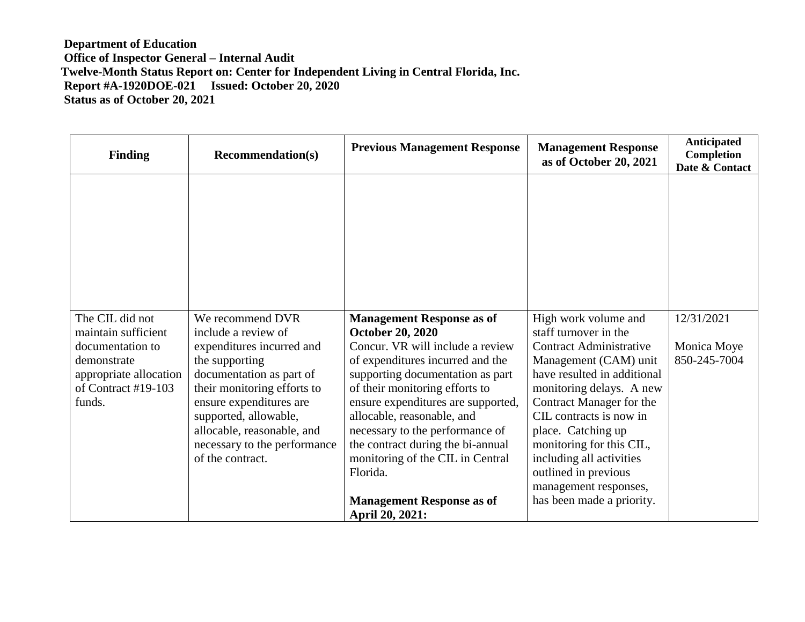| <b>Finding</b>                                | <b>Recommendation(s)</b>                               | <b>Previous Management Response</b>                                  | <b>Management Response</b><br>as of October 20, 2021 | Anticipated<br><b>Completion</b><br>Date & Contact |
|-----------------------------------------------|--------------------------------------------------------|----------------------------------------------------------------------|------------------------------------------------------|----------------------------------------------------|
|                                               |                                                        |                                                                      |                                                      |                                                    |
|                                               |                                                        |                                                                      |                                                      |                                                    |
|                                               |                                                        |                                                                      |                                                      |                                                    |
|                                               |                                                        |                                                                      |                                                      |                                                    |
| The CIL did not                               | We recommend DVR                                       | <b>Management Response as of</b>                                     | High work volume and                                 | 12/31/2021                                         |
| maintain sufficient                           | include a review of                                    | <b>October 20, 2020</b>                                              | staff turnover in the                                |                                                    |
| documentation to                              | expenditures incurred and                              | Concur. VR will include a review                                     | <b>Contract Administrative</b>                       | Monica Moye                                        |
| demonstrate                                   | the supporting                                         | of expenditures incurred and the                                     | Management (CAM) unit                                | 850-245-7004                                       |
| appropriate allocation<br>of Contract #19-103 | documentation as part of                               | supporting documentation as part                                     | have resulted in additional                          |                                                    |
| funds.                                        | their monitoring efforts to<br>ensure expenditures are | of their monitoring efforts to<br>ensure expenditures are supported, | monitoring delays. A new<br>Contract Manager for the |                                                    |
|                                               | supported, allowable,                                  | allocable, reasonable, and                                           | CIL contracts is now in                              |                                                    |
|                                               | allocable, reasonable, and                             | necessary to the performance of                                      | place. Catching up                                   |                                                    |
|                                               | necessary to the performance                           | the contract during the bi-annual                                    | monitoring for this CIL,                             |                                                    |
|                                               | of the contract.                                       | monitoring of the CIL in Central                                     | including all activities                             |                                                    |
|                                               |                                                        | Florida.                                                             | outlined in previous                                 |                                                    |
|                                               |                                                        |                                                                      | management responses,                                |                                                    |
|                                               |                                                        | <b>Management Response as of</b>                                     | has been made a priority.                            |                                                    |
|                                               |                                                        | April 20, 2021:                                                      |                                                      |                                                    |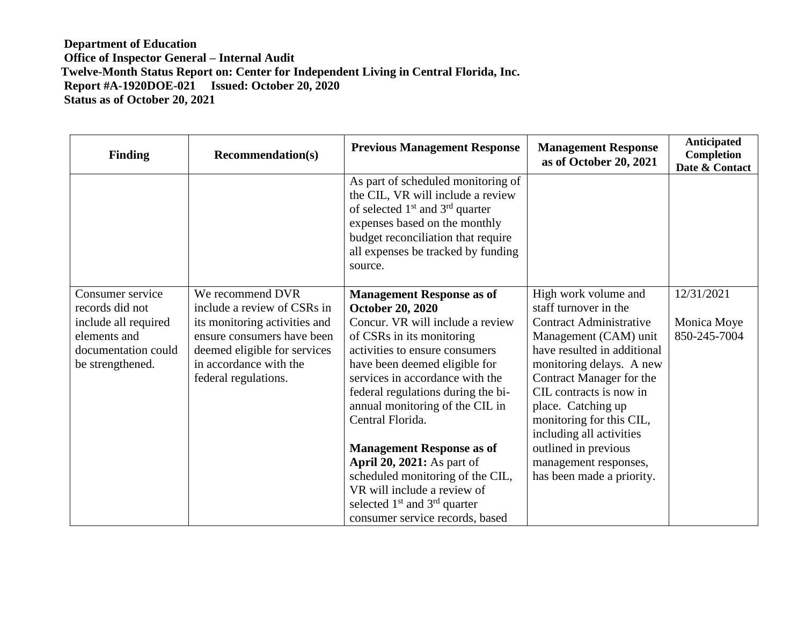| <b>Finding</b>                       | <b>Recommendation(s)</b>                                    | <b>Previous Management Response</b>                                                                                                                                                                                                    | <b>Management Response</b><br>as of October 20, 2021    | <b>Anticipated</b><br>Completion<br>Date & Contact |
|--------------------------------------|-------------------------------------------------------------|----------------------------------------------------------------------------------------------------------------------------------------------------------------------------------------------------------------------------------------|---------------------------------------------------------|----------------------------------------------------|
|                                      |                                                             | As part of scheduled monitoring of<br>the CIL, VR will include a review<br>of selected $1st$ and $3rd$ quarter<br>expenses based on the monthly<br>budget reconciliation that require<br>all expenses be tracked by funding<br>source. |                                                         |                                                    |
| Consumer service                     | We recommend DVR                                            | <b>Management Response as of</b>                                                                                                                                                                                                       | High work volume and                                    | 12/31/2021                                         |
| records did not                      | include a review of CSRs in                                 | <b>October 20, 2020</b><br>Concur. VR will include a review                                                                                                                                                                            | staff turnover in the<br><b>Contract Administrative</b> |                                                    |
| include all required<br>elements and | its monitoring activities and<br>ensure consumers have been | of CSRs in its monitoring                                                                                                                                                                                                              | Management (CAM) unit                                   | Monica Moye<br>850-245-7004                        |
| documentation could                  | deemed eligible for services                                | activities to ensure consumers                                                                                                                                                                                                         | have resulted in additional                             |                                                    |
| be strengthened.                     | in accordance with the                                      | have been deemed eligible for                                                                                                                                                                                                          | monitoring delays. A new                                |                                                    |
|                                      | federal regulations.                                        | services in accordance with the                                                                                                                                                                                                        | Contract Manager for the                                |                                                    |
|                                      |                                                             | federal regulations during the bi-                                                                                                                                                                                                     | CIL contracts is now in                                 |                                                    |
|                                      |                                                             | annual monitoring of the CIL in                                                                                                                                                                                                        | place. Catching up                                      |                                                    |
|                                      |                                                             | Central Florida.                                                                                                                                                                                                                       | monitoring for this CIL,                                |                                                    |
|                                      |                                                             | <b>Management Response as of</b>                                                                                                                                                                                                       | including all activities<br>outlined in previous        |                                                    |
|                                      |                                                             | <b>April 20, 2021:</b> As part of                                                                                                                                                                                                      | management responses,                                   |                                                    |
|                                      |                                                             | scheduled monitoring of the CIL,                                                                                                                                                                                                       | has been made a priority.                               |                                                    |
|                                      |                                                             | VR will include a review of                                                                                                                                                                                                            |                                                         |                                                    |
|                                      |                                                             | selected $1st$ and $3rd$ quarter                                                                                                                                                                                                       |                                                         |                                                    |
|                                      |                                                             | consumer service records, based                                                                                                                                                                                                        |                                                         |                                                    |